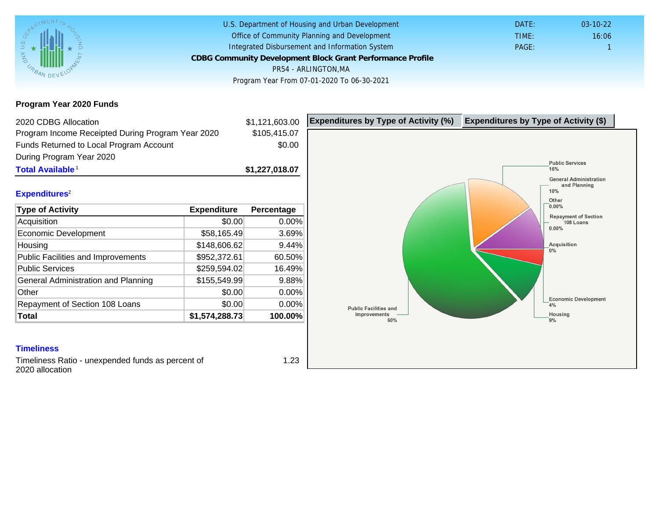Program Year 2020 Funds

| 2020 CDBG Allocation                              |                | \$1,121,603.00 | Expenditures by Type of Activity (%) | Expenditure |
|---------------------------------------------------|----------------|----------------|--------------------------------------|-------------|
| Program Income Receipted During Program Year 2020 |                | \$105,415.07   |                                      |             |
| Funds Returned to Local Program Account           |                | \$0.00         |                                      |             |
| During Program Year 2020                          |                |                |                                      |             |
| Total Available <sup>1</sup>                      |                | \$1,227,018.07 |                                      |             |
| Expenditures <sup>2</sup>                         |                |                |                                      |             |
| <b>Type of Activity</b>                           | Expenditure    | Percentage     |                                      |             |
| Acquisition                                       | \$0.00         | 0.00%          |                                      |             |
| Economic Development                              | \$58,165.49    | 3.69%          |                                      |             |
| Housing                                           | \$148,606.62   | 9.44%          |                                      |             |
| Public Facilities and Improvements                | \$952,372.61   | 60.50%         |                                      |             |
| <b>Public Services</b>                            | \$259,594.02   | 16.49%         |                                      |             |
| General Administration and Planning               | \$155,549.99   | 9.88%          |                                      |             |
| Other                                             | \$0.00         | 0.00%          |                                      |             |
| Repayment of Section 108 Loans                    | \$0.00         | 0.00%          |                                      |             |
| Total                                             | \$1,574,288.73 | 100.00%        |                                      |             |

## **Timeliness**

Timeliness Ratio - unexpended funds as percent of 2020 allocation

1.23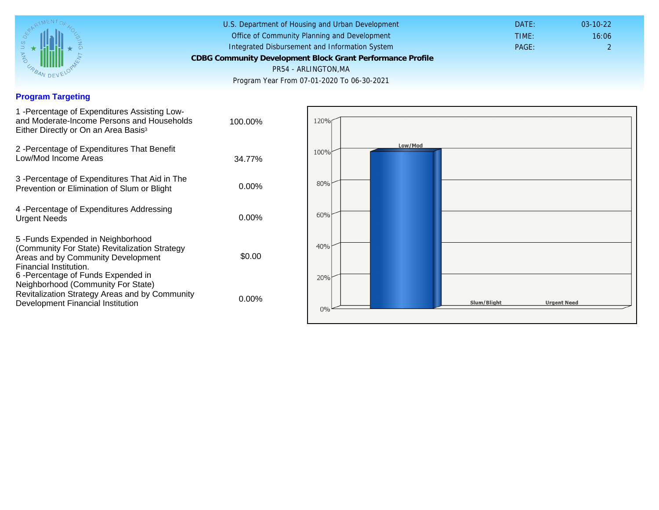### Program Targeting

| 1 - Percentage of Expenditures Assisting Low-<br>and Moderate-Income Persons and Households<br>Either Directly or On an Area Basis <sup>3</sup>                                                                              | 100.00%  |
|------------------------------------------------------------------------------------------------------------------------------------------------------------------------------------------------------------------------------|----------|
| 2 - Percentage of Expenditures That Benefit<br>Low/Mod Income Areas                                                                                                                                                          | 34.77%   |
| 3 - Percentage of Expenditures That Aid in The<br>Prevention or Elimination of Slum or Blight                                                                                                                                | $0.00\%$ |
| 4 - Percentage of Expenditures Addressing<br><b>Urgent Needs</b>                                                                                                                                                             | $0.00\%$ |
| 5-Funds Expended in Neighborhood<br>(Community For State) Revitalization Strategy<br>Areas and by Community Development<br>Financial Institution.<br>6-Percentage of Funds Expended in<br>Neighborhood (Community For State) | \$0.00   |
| Revitalization Strategy Areas and by Community<br>Development Financial Institution                                                                                                                                          | 0.00%    |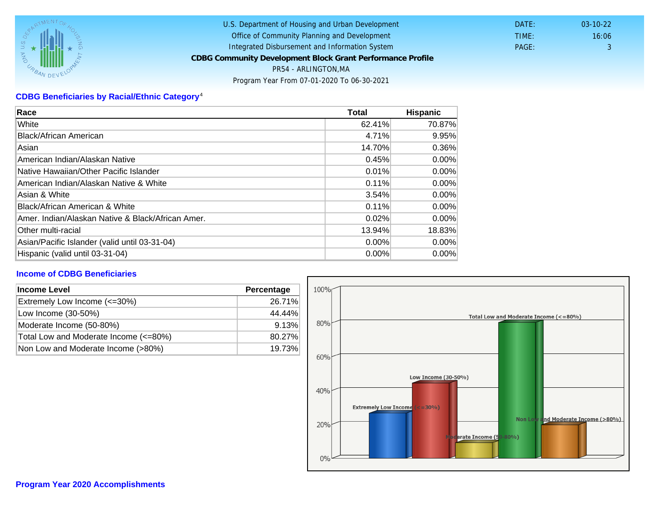# CDBG Beneficiaries by Racial/Ethnic Category <sup>4</sup>

| Race                                              | Total    | Hispanic |
|---------------------------------------------------|----------|----------|
| White                                             | 62.41%   | 70.87%   |
| Black/African American                            | 4.71%    | 9.95%    |
| Asian                                             | 14.70%   | 0.36%    |
| IAmerican Indian/Alaskan Native                   | 0.45%    | $0.00\%$ |
| lNative Hawaiian/Other Pacific Islander           | 0.01%    | $0.00\%$ |
| American Indian/Alaskan Native & White            | 0.11%    | $0.00\%$ |
| Asian & White                                     | 3.54%    | $0.00\%$ |
| Black/African American & White                    | 0.11%    | 0.00%    |
| Amer. Indian/Alaskan Native & Black/African Amer. | 0.02%    | $0.00\%$ |
| Other multi-racial                                | 13.94%   | 18.83%   |
| Asian/Pacific Islander (valid until 03-31-04)     | 0.00%    | 0.00%    |
| Hispanic (valid until 03-31-04)                   | $0.00\%$ | $0.00\%$ |

## Income of CDBG Beneficiaries

| Income Level                          | Percentage |  |
|---------------------------------------|------------|--|
| Extremely Low Income (<=30%)          | 26.71%     |  |
| Low Income (30-50%)                   | 44.44%     |  |
| Moderate Income (50-80%)              | 9.13%      |  |
| Total Low and Moderate Income (<=80%) | 80.27%     |  |
| Non Low and Moderate Income (>80%)    | 19.73%     |  |